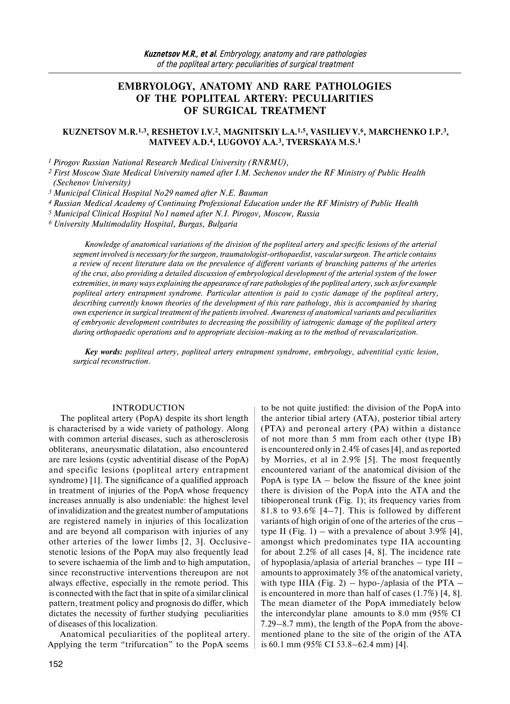# **EMBRYOLOGY, ANATOMY AND RARE PATHOLOGIES OF THE POPLITEAL ARTERY: PECULIARITIES OF SURGICAL TREATMENT**

### **KUZNETSOV M.R.1,3, RESHETOV I.V.2, MAGNITSKIY L.A.1,5, VASILIEV V.6, MARCHENKO I.P.3, MATVEEV A.D.4, LUGOVOY A.A.3, TVERSKAYA M.S.1**

*1 Pirogov Russian National Research Medical University (RNRMU),*

*<sup>2</sup> First Moscow State Medical University named after I.M. Sechenov under the RF Ministry of Public Health (Sechenov University)* 

*3 Municipal Clinical Hospital No29 named after N.E. Bauman* 

*4 Russian Medical Academy of Continuing Professional Education under the RF Ministry of Public Health*

*5 Municipal Clinical Hospital No1 named after N.I. Pirogov, Moscow, Russia* 

*6 University Multimodality Hospital, Burgas, Bulgaria* 

*Knowledge of anatomical variations of the division of the popliteal artery and specific lesions of the arterial segment involved is necessary forthe surgeon, traumatologist-orthopaedist, vascular surgeon. The article contains a review of recent literature data on the prevalence of different variants of branching patterns of the arteries of the crus, also providing a detailed discussion of embryological development of the arterial system of the lower extremities, in many ways explaining the appearance ofrare pathologies of the popliteal artery, such as for example popliteal artery entrapment syndrome. Particular attention is paid to cystic damage of the popliteal artery, describing currently known theories of the development of this rare pathology, this is accompanied by sharing own experience in surgical treatment of the patients involved. Awareness of anatomical variants and peculiarities of embryonic development contributes to decreasing the possibility of iatrogenic damage of the popliteal artery during orthopaedic operations and to appropriate decision-making as to the method of revascularization.*

*Key words: popliteal artery, popliteal artery entrapment syndrome, embryology, adventitial cystic lesion, surgical reconstruction.* 

### INTRODUCTION

The popliteal artery (PopA) despite its short length is characterised by a wide variety of pathology. Along with common arterial diseases, such as atherosclerosis obliterans, aneurysmatic dilatation, also encountered are rare lesions (cystic adventitial disease of the PopA) and specific lesions (popliteal artery entrapment syndrome) [1]. The significance of a qualified approach in treatment of injuries of the PopA whose frequency increases annually is also undeniable: the highest level of invalidization and the greatest number of amputations are registered namely in injuries of this localization and are beyond all comparison with injuries of any other arteries of the lower limbs [2, 3]. Occlusivestenotic lesions of the PopA may also frequently lead to severe ischaemia of the limb and to high amputation, since reconstructive interventions thereupon are not always effective, especially in the remote period. This is connected with the fact that in spite of a similar clinical pattern, treatment policy and prognosis do differ, which dictates the necessity of further studying peculiarities of diseases of this localization.

Anatomical peculiarities of the popliteal artery. Applying the term "trifurcation" to the PopA seems

to be not quite justified: the division of the PopA into the anterior tibial artery (ATA), posterior tibial artery (PTA) and peroneal artery (PA) within a distance of not more than 5 mm from each other (type IB) is encountered only in 2.4% of cases [4], and as reported by Morries, et al in 2.9% [5]. The most frequently encountered variant of the anatomical division of the PopA is type  $IA -$  below the fissure of the knee joint there is division of the PopA into the ATA and the tibioperoneal trunk (Fig. 1); its frequency varies from 81.8 to 93.6%  $[4-7]$ . This is followed by different variants of high origin of one of the arteries of the crus – type II (Fig. 1) – with a prevalence of about  $3.9\%$  [4], amongst which predominates type IIA accounting for about 2.2% of all cases [4, 8]. The incidence rate of hypoplasia/aplasia of arterial branches – type III – amounts to approximately 3% of the anatomical variety, with type IIIA (Fig. 2) – hypo-/aplasia of the PTA – is encountered in more than half of cases (1.7%) [4, 8]. The mean diameter of the PopA immediately below the intercondylar plane amounts to 8.0 mm (95% CI 7.29–8.7 mm), the length of the PopA from the abovementioned plane to the site of the origin of the ATA is 60.1 mm (95% CI 53.8–62.4 mm) [4].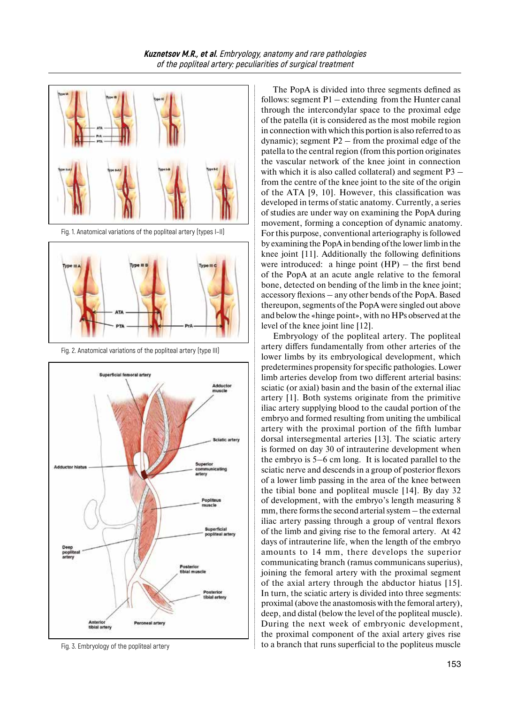

Fig. 2. Anatomical variations of the popliteal artery (type III)



Fig. 3. Embryology of the popliteal artery

The PopA is divided into three segments defined as follows: segment  $P1$  – extending from the Hunter canal through the intercondylar space to the proximal edge of the patella (it is considered as the most mobile region in connection with which this portion is also referred to as dynamic); segment P2 – from the proximal edge of the patella to the central region (from this portion originates the vascular network of the knee joint in connection with which it is also called collateral) and segment P3 – from the centre of the knee joint to the site of the origin of the ATA [9, 10]. However, this classification was developed in terms of static anatomy. Currently, a series of studies are under way on examining the PopA during movement, forming a conception of dynamic anatomy. For this purpose, conventional arteriography is followed by examining the PopA in bending of the lower limb in the knee joint [11]. Additionally the following definitions were introduced: a hinge point (HP) – the first bend of the PopA at an acute angle relative to the femoral bone, detected on bending of the limb in the knee joint; accessory flexions – any other bends of the PopA. Based thereupon, segments of the PopA were singled out above and below the «hinge point», with no HPs observed at the level of the knee joint line [12].

Embryology of the popliteal artery. The popliteal artery differs fundamentally from other arteries of the lower limbs by its embryological development, which predetermines propensity forspecific pathologies. Lower limb arteries develop from two different arterial basins: sciatic (or axial) basin and the basin of the external iliac artery [1]. Both systems originate from the primitive iliac artery supplying blood to the caudal portion of the embryo and formed resulting from uniting the umbilical artery with the proximal portion of the fifth lumbar dorsal intersegmental arteries [13]. The sciatic artery is formed on day 30 of intrauterine development when the embryo is 5–6 cm long. It is located parallel to the sciatic nerve and descends in a group of posterior flexors of a lower limb passing in the area of the knee between the tibial bone and popliteal muscle [14]. By day 32 of development, with the embryo's length measuring 8 mm, there forms the second arterial system – the external iliac artery passing through a group of ventral flexors of the limb and giving rise to the femoral artery. At 42 days of intrauterine life, when the length of the embryo amounts to 14 mm, there develops the superior communicating branch (ramus communicans superius), joining the femoral artery with the proximal segment of the axial artery through the abductor hiatus [15]. In turn, the sciatic artery is divided into three segments: proximal (above the anastomosis with the femoral artery), deep, and distal (below the level of the popliteal muscle). During the next week of embryonic development, the proximal component of the axial artery gives rise to a branch that runs superficial to the popliteus muscle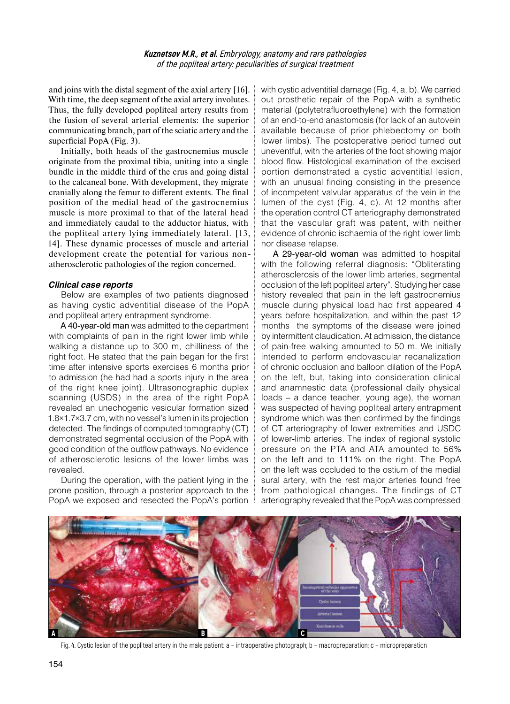and joins with the distal segment of the axial artery [16]. With time, the deep segment of the axial artery involutes. Thus, the fully developed popliteal artery results from the fusion of several arterial elements: the superior communicating branch, part of the sciatic artery and the superficial PopA (Fig. 3).

Initially, both heads of the gastrocnemius muscle originate from the proximal tibia, uniting into a single bundle in the middle third of the crus and going distal to the calcaneal bone. With development, they migrate cranially along the femur to different extents. The final position of the medial head of the gastrocnemius muscle is more proximal to that of the lateral head and immediately caudal to the adductor hiatus, with the popliteal artery lying immediately lateral. [13, 14]. These dynamic processes of muscle and arterial development create the potential for various nonatherosclerotic pathologies of the region concerned.

### *Clinical case reports*

Below are examples of two patients diagnosed as having cystic adventitial disease of the PopA and popliteal artery entrapment syndrome.

A 40-year-old man was admitted to the department with complaints of pain in the right lower limb while walking a distance up to 300 m, chilliness of the right foot. He stated that the pain began for the first time after intensive sports exercises 6 months prior to admission (he had had a sports injury in the area of the right knee joint). Ultrasonographic duplex scanning (USDS) in the area of the right PopA revealed an unechogenic vesicular formation sized 1.8×1.7×3.7 cm, with no vessel's lumen in its projection detected. The findings of computed tomography (CT) demonstrated segmental occlusion of the PopA with good condition of the outflow pathways. No evidence of atherosclerotic lesions of the lower limbs was revealed.

During the operation, with the patient lying in the prone position, through a posterior approach to the PopA we exposed and resected the PopA's portion

with cystic adventitial damage (Fig. 4, a, b). We carried out prosthetic repair of the PopA with a synthetic material (polytetrafluoroethylene) with the formation of an end-to-end anastomosis (for lack of an autovein available because of prior phlebectomy on both lower limbs). The postoperative period turned out uneventful, with the arteries of the foot showing major blood flow. Histological examination of the excised portion demonstrated a cystic adventitial lesion, with an unusual finding consisting in the presence of incompetent valvular apparatus of the vein in the lumen of the cyst (Fig. 4, c). At 12 months after the operation control CT arteriography demonstrated that the vascular graft was patent, with neither evidence of chronic ischaemia of the right lower limb nor disease relapse.

A 29-year-old woman was admitted to hospital with the following referral diagnosis: "Obliterating atherosclerosis of the lower limb arteries, segmental occlusion of the left popliteal artery". Studying her case history revealed that pain in the left gastrocnemius muscle during physical load had first appeared 4 years before hospitalization, and within the past 12 months the symptoms of the disease were joined by intermittent claudication. At admission, the distance of pain-free walking amounted to 50 m. We initially intended to perform endovascular recanalization of chronic occlusion and balloon dilation of the PopA on the left, but, taking into consideration clinical and anamnestic data (professional daily physical loads – a dance teacher, young age), the woman was suspected of having popliteal artery entrapment syndrome which was then confirmed by the findings of CT arteriography of lower extremities and USDC of lower-limb arteries. The index of regional systolic pressure on the PTA and ATA amounted to 56% on the left and to 111% on the right. The PopA on the left was occluded to the ostium of the medial sural artery, with the rest major arteries found free from pathological changes. The findings of CT arteriography revealed that the PopA was compressed



Fig. 4. Cystic lesion of the popliteal artery in the male patient: a – intraoperative photograph; b – macropreparation; c – micropreparation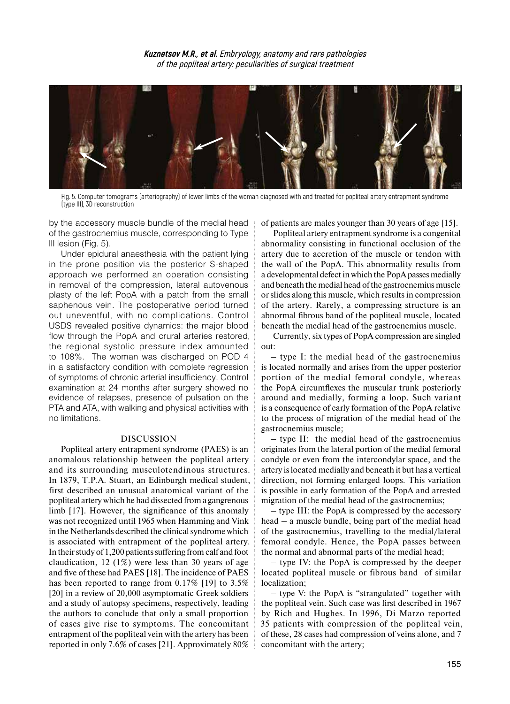

Fig. 5. Computer tomograms (arteriography) of lower limbs of the woman diagnosed with and treated for popliteal artery entrapment syndrome (type III), 3D reconstruction

by the accessory muscle bundle of the medial head of the gastrocnemius muscle, corresponding to Type III lesion (Fig. 5).

Under epidural anaesthesia with the patient lying in the prone position via the posterior S-shaped approach we performed an operation consisting in removal of the compression, lateral autovenous plasty of the left PopA with a patch from the small saphenous vein. The postoperative period turned out uneventful, with no complications. Control USDS revealed positive dynamics: the major blood flow through the PopA and crural arteries restored, the regional systolic pressure index amounted to 108%. The woman was discharged on POD 4 in a satisfactory condition with complete regression of symptoms of chronic arterial insufficiency. Control examination at 24 months after surgery showed no evidence of relapses, presence of pulsation on the PTA and ATA, with walking and physical activities with no limitations.

#### DISCUSSION

Popliteal artery entrapment syndrome (PAES) is an anomalous relationship between the popliteal artery and its surrounding musculotendinous structures. In 1879, T.P.A. Stuart, an Edinburgh medical student, first described an unusual anatomical variant of the popliteal artery which he had dissected from a gangrenous limb [17]. However, the significance of this anomaly was not recognized until 1965 when Hamming and Vink in the Netherlands described the clinical syndrome which is associated with entrapment of the popliteal artery. In their study of 1,200 patients suffering from calf and foot claudication, 12 (1%) were less than 30 years of age and five of these had PAES [18]. The incidence of PAES has been reported to range from 0.17% [19] to 3.5% [20] in a review of 20,000 asymptomatic Greek soldiers and a study of autopsy specimens, respectively, leading the authors to conclude that only a small proportion of cases give rise to symptoms. The concomitant entrapment of the popliteal vein with the artery has been reported in only 7.6% of cases [21]. Approximately 80%

of patients are males younger than 30 years of age [15].

Popliteal artery entrapment syndrome is a congenital abnormality consisting in functional occlusion of the artery due to accretion of the muscle or tendon with the wall of the PopA. This abnormality results from a developmental defect in which the PopA passes medially and beneath the medial head of the gastrocnemius muscle or slides along this muscle, which results in compression of the artery. Rarely, a compressing structure is an abnormal fibrous band of the popliteal muscle, located beneath the medial head of the gastrocnemius muscle.

Currently, six types of PopA compression are singled out:

– type I: the medial head of the gastrocnemius is located normally and arises from the upper posterior portion of the medial femoral condyle, whereas the PopA circumflexes the muscular trunk posteriorly around and medially, forming a loop. Such variant is a consequence of early formation of the PopA relative to the process of migration of the medial head of the gastrocnemius muscle;

– type II: the medial head of the gastrocnemius originates from the lateral portion of the medial femoral condyle or even from the intercondylar space, and the artery islocated medially and beneath it but has a vertical direction, not forming enlarged loops. This variation is possible in early formation of the PopA and arrested migration of the medial head of the gastrocnemius;

– type III: the PopA is compressed by the accessory head – a muscle bundle, being part of the medial head of the gastrocnemius, travelling to the medial/lateral femoral condyle. Hence, the PopA passes between the normal and abnormal parts of the medial head;

– type IV: the PopA is compressed by the deeper located popliteal muscle or fibrous band of similar localization;

– type V: the PopA is "strangulated" together with the popliteal vein. Such case was first described in 1967 by Rich and Hughes. In 1996, Di Marzo reported 35 patients with compression of the popliteal vein, of these, 28 cases had compression of veins alone, and 7 concomitant with the artery;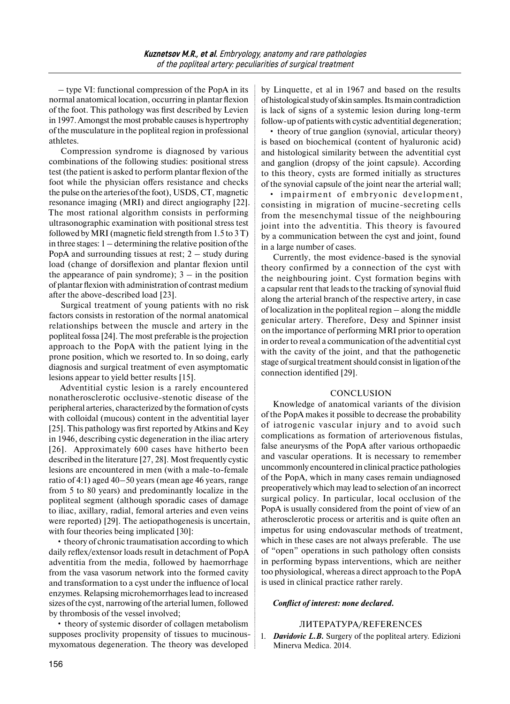– type VI: functional compression of the PopA in its normal anatomical location, occurring in plantar flexion of the foot. This pathology was first described by Levien in 1997. Amongst the most probable causes is hypertrophy of the musculature in the popliteal region in professional athletes.

Compression syndrome is diagnosed by various combinations of the following studies: positional stress test (the patient is asked to perform plantar flexion of the foot while the physician offers resistance and checks the pulse on the arteries ofthe foot), USDS, CT, magnetic resonance imaging (MRI) and direct angiography [22]. The most rational algorithm consists in performing ultrasonographic examination with positional stress test followed by MRI (magnetic field strength from 1.5 to 3 T) in three stages: 1 – determining the relative position of the PopA and surrounding tissues at rest;  $2 -$  study during load (change of dorsiflexion and plantar flexion until the appearance of pain syndrome);  $3 - in$  the position of plantar flexion with administration of contrast medium after the above-described load [23].

Surgical treatment of young patients with no risk factors consists in restoration of the normal anatomical relationships between the muscle and artery in the popliteal fossa [24]. The most preferable isthe projection approach to the PopA with the patient lying in the prone position, which we resorted to. In so doing, early diagnosis and surgical treatment of even asymptomatic lesions appear to yield better results [15].

Adventitial cystic lesion is a rarely encountered nonatherosclerotic occlusive-stenotic disease of the peripheral arteries, characterized by the formation of cysts with colloidal (mucous) content in the adventitial layer [25]. This pathology was first reported by Atkins and Key in 1946, describing cystic degeneration in the iliac artery [26]. Approximately 600 cases have hitherto been described in the literature [27, 28]. Most frequently cystic lesions are encountered in men (with a male-to-female ratio of 4:1) aged 40–50 years (mean age 46 years, range from 5 to 80 years) and predominantly localize in the popliteal segment (although sporadic cases of damage to iliac, axillary, radial, femoral arteries and even veins were reported) [29]. The aetiopathogenesis is uncertain, with four theories being implicated [30]:

• theory of chronic traumatisation according to which daily reflex/extensor loads result in detachment of PopA adventitia from the media, followed by haemorrhage from the vasa vasorum network into the formed cavity and transformation to a cyst under the influence of local enzymes. Relapsing microhemorrhages lead to increased sizes of the cyst, narrowing of the arterial lumen, followed by thrombosis of the vessel involved;

• theory of systemic disorder of collagen metabolism supposes proclivity propensity of tissues to mucinousmyxomatous degeneration. The theory was developed by Linquette, et al in 1967 and based on the results ofhistological study ofskin samples. Its main contradiction is lack of signs of a systemic lesion during long-term follow-up of patients with cystic adventitial degeneration;

• theory of true ganglion (synovial, articular theory) is based on biochemical (content of hyaluronic acid) and histological similarity between the adventitial cyst and ganglion (dropsy of the joint capsule). According to this theory, cysts are formed initially as structures of the synovial capsule of the joint near the arterial wall;

• impairment of embryonic development, consisting in migration of mucine-secreting cells from the mesenchymal tissue of the neighbouring joint into the adventitia. This theory is favoured by a communication between the cyst and joint, found in a large number of cases.

Currently, the most evidence-based is the synovial theory confirmed by a connection of the cyst with the neighbouring joint. Cyst formation begins with a capsular rent that leads to the tracking of synovial fluid along the arterial branch of the respective artery, in case of localization in the popliteal region – along the middle genicular artery. Therefore, Desy and Spinner insist on the importance of performing MRI prior to operation in order to reveal a communication of the adventitial cyst with the cavity of the joint, and that the pathogenetic stage of surgical treatment should consist in ligation of the connection identified [29].

## **CONCLUSION**

Knowledge of anatomical variants of the division of the PopA makes it possible to decrease the probability of iatrogenic vascular injury and to avoid such complications as formation of arteriovenous fistulas, false aneurysms of the PopA after various orthopaedic and vascular operations. It is necessary to remember uncommonly encountered in clinical practice pathologies of the PopA, which in many cases remain undiagnosed preoperatively which may lead to selection of an incorrect surgical policy. In particular, local occlusion of the PopA is usually considered from the point of view of an atherosclerotic process or arteritis and is quite often an impetus for using endovascular methods of treatment, which in these cases are not always preferable. The use of "open" operations in such pathology often consists in performing bypass interventions, which are neither too physiological, whereas a direct approach to the PopA is used in clinical practice rather rarely.

## *Conflict of interest: none declared.*

# ЛИТЕРАТУРА/REFERENCES

1. *Davidovic L.B.* Surgery of the popliteal artery. Edizioni Minerva Medica. 2014.